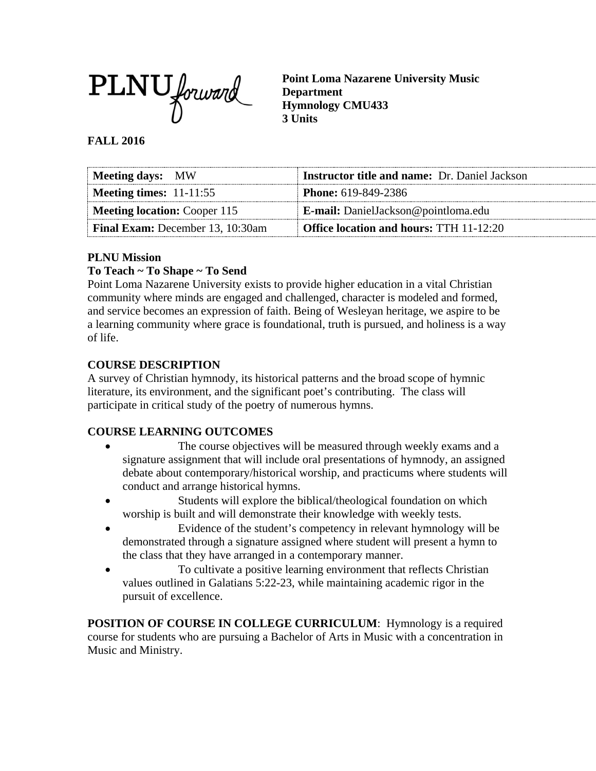

**Point Loma Nazarene University Music Department Hymnology CMU433 3 Units**

## **FALL 2016**

| Meeting days: MW                        | <b>Instructor title and name:</b> Dr. Daniel Jackson |
|-----------------------------------------|------------------------------------------------------|
| Meeting times: $11-11:55$               | <b>Phone:</b> 619-849-2386                           |
| <b>Meeting location: Cooper 115</b>     | <b>E-mail:</b> DanielJackson@pointloma.edu           |
| <b>Final Exam:</b> December 13, 10:30am | Office location and hours: TTH 11-12:20              |

#### **PLNU Mission**

## **To Teach ~ To Shape ~ To Send**

Point Loma Nazarene University exists to provide higher education in a vital Christian community where minds are engaged and challenged, character is modeled and formed, and service becomes an expression of faith. Being of Wesleyan heritage, we aspire to be a learning community where grace is foundational, truth is pursued, and holiness is a way of life.

## **COURSE DESCRIPTION**

A survey of Christian hymnody, its historical patterns and the broad scope of hymnic literature, its environment, and the significant poet's contributing. The class will participate in critical study of the poetry of numerous hymns.

#### **COURSE LEARNING OUTCOMES**

- The course objectives will be measured through weekly exams and a signature assignment that will include oral presentations of hymnody, an assigned debate about contemporary/historical worship, and practicums where students will conduct and arrange historical hymns.
- Students will explore the biblical/theological foundation on which worship is built and will demonstrate their knowledge with weekly tests.
- Evidence of the student's competency in relevant hymnology will be demonstrated through a signature assigned where student will present a hymn to the class that they have arranged in a contemporary manner.
- To cultivate a positive learning environment that reflects Christian values outlined in Galatians 5:22-23, while maintaining academic rigor in the pursuit of excellence.

**POSITION OF COURSE IN COLLEGE CURRICULUM:** Hymnology is a required course for students who are pursuing a Bachelor of Arts in Music with a concentration in Music and Ministry.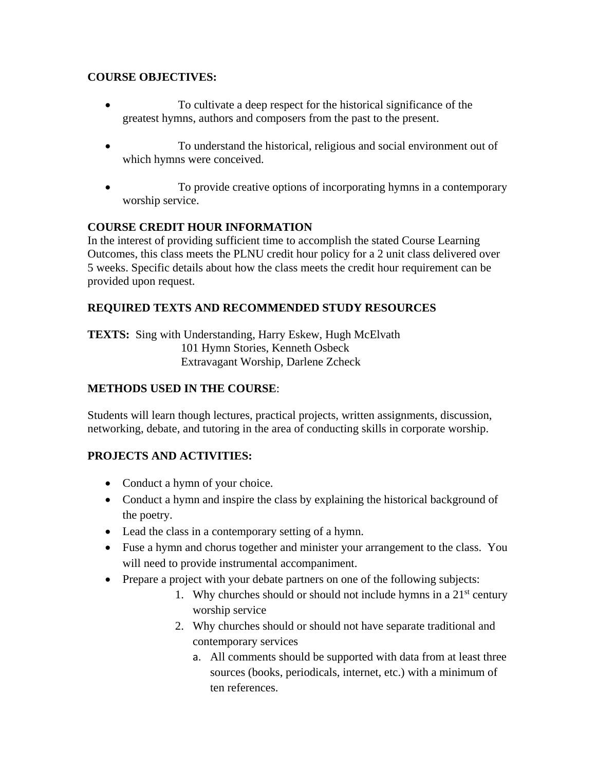## **COURSE OBJECTIVES:**

- To cultivate a deep respect for the historical significance of the greatest hymns, authors and composers from the past to the present.
- To understand the historical, religious and social environment out of which hymns were conceived.
- To provide creative options of incorporating hymns in a contemporary worship service.

## **COURSE CREDIT HOUR INFORMATION**

In the interest of providing sufficient time to accomplish the stated Course Learning Outcomes, this class meets the PLNU credit hour policy for a 2 unit class delivered over 5 weeks. Specific details about how the class meets the credit hour requirement can be provided upon request.

## **REQUIRED TEXTS AND RECOMMENDED STUDY RESOURCES**

**TEXTS:** Sing with Understanding, Harry Eskew, Hugh McElvath 101 Hymn Stories, Kenneth Osbeck Extravagant Worship, Darlene Zcheck

## **METHODS USED IN THE COURSE**:

Students will learn though lectures, practical projects, written assignments, discussion, networking, debate, and tutoring in the area of conducting skills in corporate worship.

#### **PROJECTS AND ACTIVITIES:**

- Conduct a hymn of your choice.
- Conduct a hymn and inspire the class by explaining the historical background of the poetry.
- Lead the class in a contemporary setting of a hymn.
- Fuse a hymn and chorus together and minister your arrangement to the class. You will need to provide instrumental accompaniment.
- Prepare a project with your debate partners on one of the following subjects:
	- 1. Why churches should or should not include hymns in a  $21<sup>st</sup>$  century worship service
	- 2. Why churches should or should not have separate traditional and contemporary services
		- a. All comments should be supported with data from at least three sources (books, periodicals, internet, etc.) with a minimum of ten references.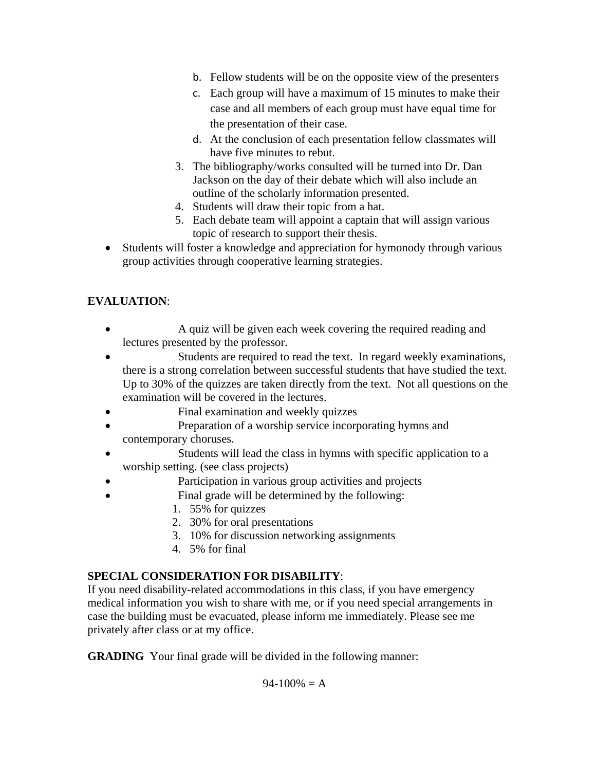- b. Fellow students will be on the opposite view of the presenters
- c. Each group will have a maximum of 15 minutes to make their case and all members of each group must have equal time for the presentation of their case.
- d. At the conclusion of each presentation fellow classmates will have five minutes to rebut.
- 3. The bibliography/works consulted will be turned into Dr. Dan Jackson on the day of their debate which will also include an outline of the scholarly information presented.
- 4. Students will draw their topic from a hat.
- 5. Each debate team will appoint a captain that will assign various topic of research to support their thesis.
- Students will foster a knowledge and appreciation for hymonody through various group activities through cooperative learning strategies.

# **EVALUATION**:

- A quiz will be given each week covering the required reading and lectures presented by the professor.
- Students are required to read the text. In regard weekly examinations, there is a strong correlation between successful students that have studied the text. Up to 30% of the quizzes are taken directly from the text. Not all questions on the examination will be covered in the lectures.
- Final examination and weekly quizzes
- Preparation of a worship service incorporating hymns and contemporary choruses.
- Students will lead the class in hymns with specific application to a worship setting. (see class projects)
- Participation in various group activities and projects
	- Final grade will be determined by the following:
		- 1. 55% for quizzes
			- 2. 30% for oral presentations
			- 3. 10% for discussion networking assignments
			- 4. 5% for final

# **SPECIAL CONSIDERATION FOR DISABILITY**:

If you need disability-related accommodations in this class, if you have emergency medical information you wish to share with me, or if you need special arrangements in case the building must be evacuated, please inform me immediately. Please see me privately after class or at my office.

**GRADING** Your final grade will be divided in the following manner:

 $94-100% = A$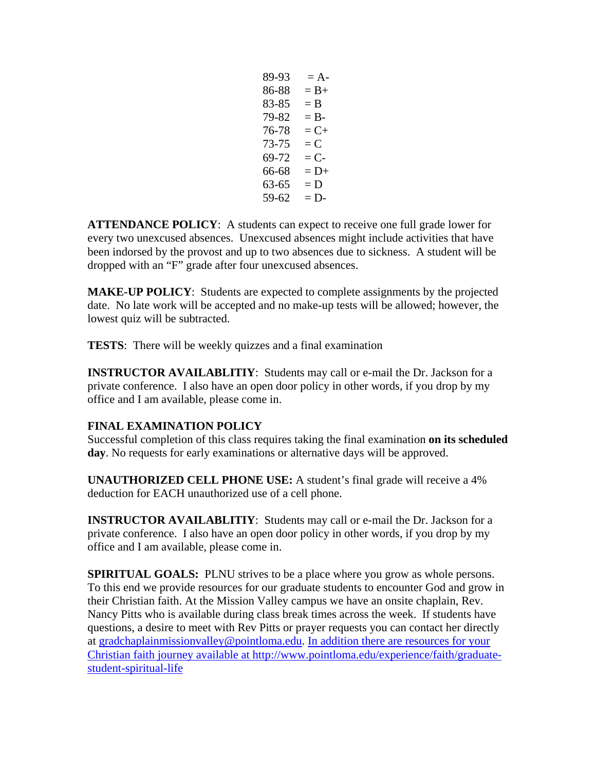$89-93 = A$  $86-88 = B +$  $83-85 = B$  $79-82 = B$  $76-78 = C+$  $73-75 = C$  $69-72 = C$  $66-68 = D+$  $63-65 = D$  $59-62 = D$ 

**ATTENDANCE POLICY**: A students can expect to receive one full grade lower for every two unexcused absences. Unexcused absences might include activities that have been indorsed by the provost and up to two absences due to sickness. A student will be dropped with an "F" grade after four unexcused absences.

**MAKE-UP POLICY**: Students are expected to complete assignments by the projected date. No late work will be accepted and no make-up tests will be allowed; however, the lowest quiz will be subtracted.

**TESTS**: There will be weekly quizzes and a final examination

**INSTRUCTOR AVAILABLITIY**: Students may call or e-mail the Dr. Jackson for a private conference. I also have an open door policy in other words, if you drop by my office and I am available, please come in.

#### **FINAL EXAMINATION POLICY**

Successful completion of this class requires taking the final examination **on its scheduled day**. No requests for early examinations or alternative days will be approved.

**UNAUTHORIZED CELL PHONE USE:** A student's final grade will receive a 4% deduction for EACH unauthorized use of a cell phone.

**INSTRUCTOR AVAILABLITIY**: Students may call or e-mail the Dr. Jackson for a private conference. I also have an open door policy in other words, if you drop by my office and I am available, please come in.

**SPIRITUAL GOALS:** PLNU strives to be a place where you grow as whole persons. To this end we provide resources for our graduate students to encounter God and grow in their Christian faith. At the Mission Valley campus we have an onsite chaplain, Rev. Nancy Pitts who is available during class break times across the week. If students have questions, a desire to meet with Rev Pitts or prayer requests you can contact her directly at [gradchaplainmissionvalley@pointloma.edu.](mailto:gradchaplainmissionvalley@pointloma.edu) [In addition there are resources for your](mailto:gradchaplainmissionvalley@pointloma.edu.%20%20%0dIn%20addition%20there%20are%20resources%20for%20your%20Christian%20faith%20journey%20are%20available%20at%20http://www.pointloma.edu/SpiritualDevelopment/Graduate_Students.htm.%0b)  Christian faith journey available at [http://www.pointloma.edu/experience/faith/graduate](mailto:gradchaplainmissionvalley@pointloma.edu.%20%20%0dIn%20addition%20there%20are%20resources%20for%20your%20Christian%20faith%20journey%20are%20available%20at%20http://www.pointloma.edu/SpiritualDevelopment/Graduate_Students.htm.%0b)[student-spiritual-life](mailto:gradchaplainmissionvalley@pointloma.edu.%20%20%0dIn%20addition%20there%20are%20resources%20for%20your%20Christian%20faith%20journey%20are%20available%20at%20http://www.pointloma.edu/SpiritualDevelopment/Graduate_Students.htm.%0b)